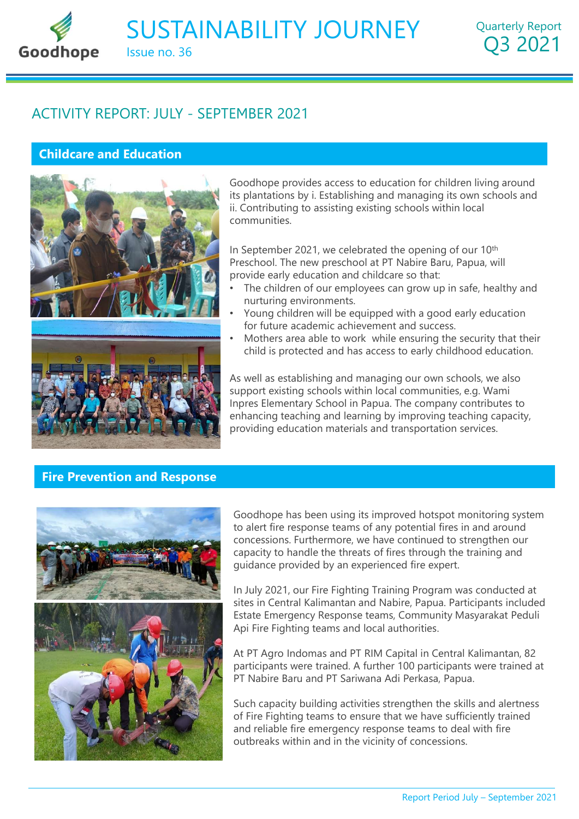# SUSTAINABILITY JOURNEY Issue no. 36 SUSTAINABILITY JOURNEY<br>
ORDER ISSUE NO. 36<br>
ACTIVITY REPORT: JULY - SEPTEMBER 2021<br>
Childcare and Education

Quarterly Report Q3 2021

# Childcare and Education



**GOOGLANEY**<br>
Goodhope provides access to education for children living around<br>
disoplantations by i. Establishing and managing its own schools and<br>
ii. Contributing to assisting existing schools within local<br>
communities. its plantations by i. Establishing and managing its own schools and ii. Contributing to assisting existing schools within local communities. **ABILITY JOURNEY** Quarterly Report<br> **Q3 2021**<br> **EMBER 2021**<br> **EMBER 2021**<br> **EMBER 2021**<br> **EMBER 2021**<br> **EMBER 2021**<br> **EMBER 2021**<br> **COOMODED PROPERTY ASSES AND THE DEVENUES AND THE SURFERT ON THE SURFACE ON THE PRESCHOOL.** EMBER 2021<br>
Goodhope provides access to education for children living around<br>
its plantations by i. Establishing and managing its own schools and<br>
i.i. Contributing to assisting existing schools within local<br>
communities.<br>

In September 2021, we celebrated the opening of our 10<sup>th</sup> provide early education and childcare so that:

- The children of our employees can grow up in safe, healthy and nurturing environments.
- Young children will be equipped with a good early education for future academic achievement and success.
- child is protected and has access to early childhood education.

As well as establishing and managing our own schools, we also Goodhope provides access to education for children living around<br>its plantations by i. Establishing and managing its own schools and<br>i. Contributing to assisting existing schools within local<br>communities.<br>In September 202 Goodhope provides access to education for children living around<br>its plantations by i. Establishing and managing its own schools and<br>ii. Contributing to assisting existing schools within local<br>communities.<br>In September 202 enhancing teaching and learning by improving teaching capacity, providing education materials and transportation services.

# Fire Prevention and Response



Preschool. The new preschool at PT Nabire Baru, Papua, will<br>orovide early education and childcare so that:<br>The children of our employees can grow up in safe, healthy and<br>nurturing environments.<br>Young children will be equip to alert fire response teams of any potential fires in and around concessions. Furthermore, we have continued to strengthen our capacity to handle the threats of fires through the training and guidance provided by an experienced fire expert. child is protected and has access to early childhood education.<br>
As well as establishing and managing our own schools, we also<br>
upport existing schools within local communities, e.g. Wami<br>
or the company contributes to<br>
to As well as establishing and managing our own schools, we also<br>upprot existing schools within local communities, e.g. Wami<br>uppres Elementary School in Papua. The company contributes to<br>enhancing teaching and learning by imp mpres Elementary School in Papua. The company contributes to<br>nhancing teaching and learning by improving teaching capacity,<br>roviding education materials and transportation services.<br>Coodhope has been using its improved hot providing education materials and transportation services.<br>
Goodhope has been using its improved hotspot monitoring system<br>
to alert fire response teams of any potential fires in and around<br>
concessions. Furthermore, we ha Goodhope has been using its improved hotspot monitoring system<br>to alert fire response teams of any potential fires in and around<br>concessions. Furthermore, we have continued to strengthen our<br>capacity to handle the threats

s through the training and<br>d fire expert.<br>Ig Program was conducted at<br>re, Papua. Participants included<br>Community Masyarakat Peduli<br>horities.<br>Jital in Central Kalimantan, 82<br>00 participants were trained at<br>Perkasa, Papua.<br>A In July 2021, our Fire Fighting Training Program was conducted at Estate Emergency Response teams, Community Masyarakat Peduli

participants were trained. A further 100 participants were trained at PT Nabire Baru and PT Sariwana Adi Perkasa, Papua.

Such capacity building activities strengthen the skills and alertness of Fire Fighting teams to ensure that we have sufficiently trained outbreaks within and in the vicinity of concessions.